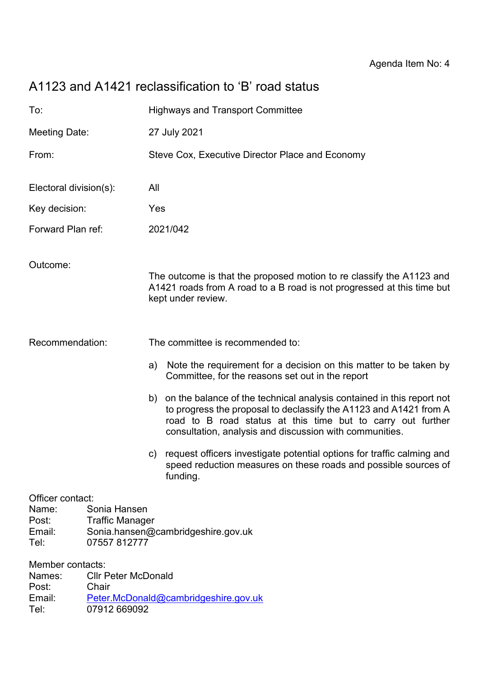# A1123 and A1421 reclassification to 'B' road status

| To:                                                                                                                                                  |  | <b>Highways and Transport Committee</b>         |                                                                                                                                                                                                                                                                         |
|------------------------------------------------------------------------------------------------------------------------------------------------------|--|-------------------------------------------------|-------------------------------------------------------------------------------------------------------------------------------------------------------------------------------------------------------------------------------------------------------------------------|
| Meeting Date:                                                                                                                                        |  | 27 July 2021                                    |                                                                                                                                                                                                                                                                         |
| From:                                                                                                                                                |  | Steve Cox, Executive Director Place and Economy |                                                                                                                                                                                                                                                                         |
| Electoral division(s):                                                                                                                               |  | All                                             |                                                                                                                                                                                                                                                                         |
| Key decision:                                                                                                                                        |  | Yes                                             |                                                                                                                                                                                                                                                                         |
| Forward Plan ref:                                                                                                                                    |  | 2021/042                                        |                                                                                                                                                                                                                                                                         |
| Outcome:                                                                                                                                             |  |                                                 | The outcome is that the proposed motion to re classify the A1123 and<br>A1421 roads from A road to a B road is not progressed at this time but<br>kept under review.                                                                                                    |
| Recommendation:                                                                                                                                      |  |                                                 | The committee is recommended to:                                                                                                                                                                                                                                        |
|                                                                                                                                                      |  | a)                                              | Note the requirement for a decision on this matter to be taken by<br>Committee, for the reasons set out in the report                                                                                                                                                   |
|                                                                                                                                                      |  |                                                 | b) on the balance of the technical analysis contained in this report not<br>to progress the proposal to declassify the A1123 and A1421 from A<br>road to B road status at this time but to carry out further<br>consultation, analysis and discussion with communities. |
|                                                                                                                                                      |  |                                                 | c) request officers investigate potential options for traffic calming and<br>speed reduction measures on these roads and possible sources of<br>funding.                                                                                                                |
| Officer contact:<br>Sonia Hansen<br>Name:<br>Post:<br><b>Traffic Manager</b><br>Email:<br>Sonia.hansen@cambridgeshire.gov.uk<br>07557 812777<br>Tel: |  |                                                 |                                                                                                                                                                                                                                                                         |
| Member contacts:<br><b>Cllr Peter McDonald</b><br>Names:<br>Post:<br>Chair<br>Peter.McDonald@cambridgeshire.gov.uk<br>Email:                         |  |                                                 |                                                                                                                                                                                                                                                                         |

Tel: 07912 669092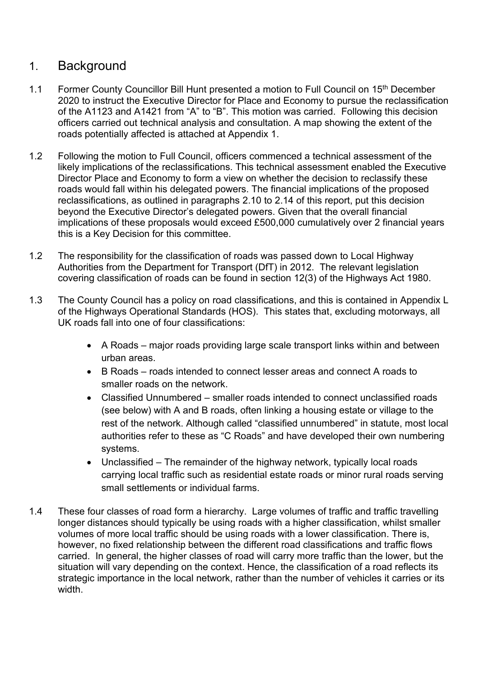### 1. Background

- 1.1 Former County Councillor Bill Hunt presented a motion to Full Council on 15<sup>th</sup> December 2020 to instruct the Executive Director for Place and Economy to pursue the reclassification of the A1123 and A1421 from "A" to "B". This motion was carried. Following this decision officers carried out technical analysis and consultation. A map showing the extent of the roads potentially affected is attached at Appendix 1.
- 1.2 Following the motion to Full Council, officers commenced a technical assessment of the likely implications of the reclassifications. This technical assessment enabled the Executive Director Place and Economy to form a view on whether the decision to reclassify these roads would fall within his delegated powers. The financial implications of the proposed reclassifications, as outlined in paragraphs 2.10 to 2.14 of this report, put this decision beyond the Executive Director's delegated powers. Given that the overall financial implications of these proposals would exceed £500,000 cumulatively over 2 financial years this is a Key Decision for this committee.
- 1.2 The responsibility for the classification of roads was passed down to Local Highway Authorities from the Department for Transport (DfT) in 2012. The relevant legislation covering classification of roads can be found in section 12(3) of the Highways Act 1980.
- 1.3 The County Council has a policy on road classifications, and this is contained in Appendix L of the Highways Operational Standards (HOS). This states that, excluding motorways, all UK roads fall into one of four classifications:
	- A Roads major roads providing large scale transport links within and between urban areas.
	- B Roads roads intended to connect lesser areas and connect A roads to smaller roads on the network.
	- Classified Unnumbered smaller roads intended to connect unclassified roads (see below) with A and B roads, often linking a housing estate or village to the rest of the network. Although called "classified unnumbered" in statute, most local authorities refer to these as "C Roads" and have developed their own numbering systems.
	- Unclassified The remainder of the highway network, typically local roads carrying local traffic such as residential estate roads or minor rural roads serving small settlements or individual farms.
- 1.4 These four classes of road form a hierarchy. Large volumes of traffic and traffic travelling longer distances should typically be using roads with a higher classification, whilst smaller volumes of more local traffic should be using roads with a lower classification. There is, however, no fixed relationship between the different road classifications and traffic flows carried. In general, the higher classes of road will carry more traffic than the lower, but the situation will vary depending on the context. Hence, the classification of a road reflects its strategic importance in the local network, rather than the number of vehicles it carries or its width.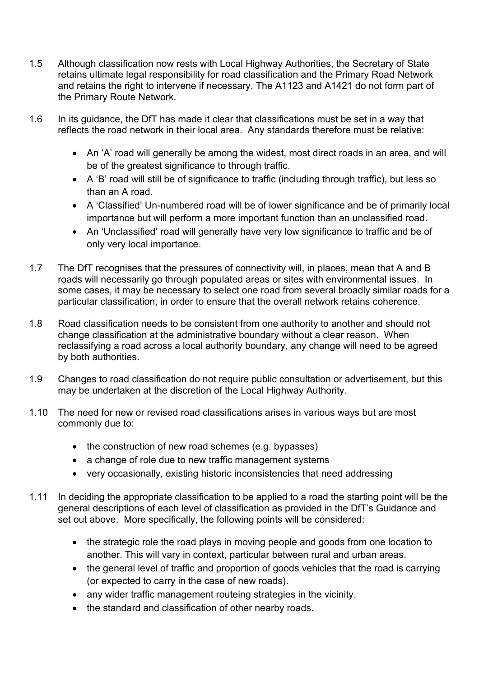- 1.5 Although classification now rests with Local Highway Authorities, the Secretary of State retains ultimate legal responsibility for road classification and the Primary Road Network and retains the right to intervene if necessary. The A1123 and A1421 do not form part of the Primary Route Network.
- 1.6 In its guidance, the DfT has made it clear that classifications must be set in a way that reflects the road network in their local area. Any standards therefore must be relative:
	- An 'A' road will generally be among the widest, most direct roads in an area, and will be of the greatest significance to through traffic.
	- A 'B' road will still be of significance to traffic (including through traffic), but less so than an A road.
	- A 'Classified' Un-numbered road will be of lower significance and be of primarily local importance but will perform a more important function than an unclassified road.
	- An 'Unclassified' road will generally have very low significance to traffic and be of only very local importance.
- 1.7 The DfT recognises that the pressures of connectivity will, in places, mean that A and B roads will necessarily go through populated areas or sites with environmental issues. In some cases, it may be necessary to select one road from several broadly similar roads for a particular classification, in order to ensure that the overall network retains coherence.
- 1.8 Road classification needs to be consistent from one authority to another and should not change classification at the administrative boundary without a clear reason. When reclassifying a road across a local authority boundary, any change will need to be agreed by both authorities.
- 1.9 Changes to road classification do not require public consultation or advertisement, but this may be undertaken at the discretion of the Local Highway Authority.
- 1.10 The need for new or revised road classifications arises in various ways but are most commonly due to:
	- the construction of new road schemes (e.g. bypasses)
	- a change of role due to new traffic management systems
	- very occasionally, existing historic inconsistencies that need addressing
- 1.11 In deciding the appropriate classification to be applied to a road the starting point will be the general descriptions of each level of classification as provided in the DfT's Guidance and set out above. More specifically, the following points will be considered:
	- the strategic role the road plays in moving people and goods from one location to another. This will vary in context, particular between rural and urban areas.
	- the general level of traffic and proportion of goods vehicles that the road is carrying (or expected to carry in the case of new roads).
	- any wider traffic management routeing strategies in the vicinity.
	- the standard and classification of other nearby roads.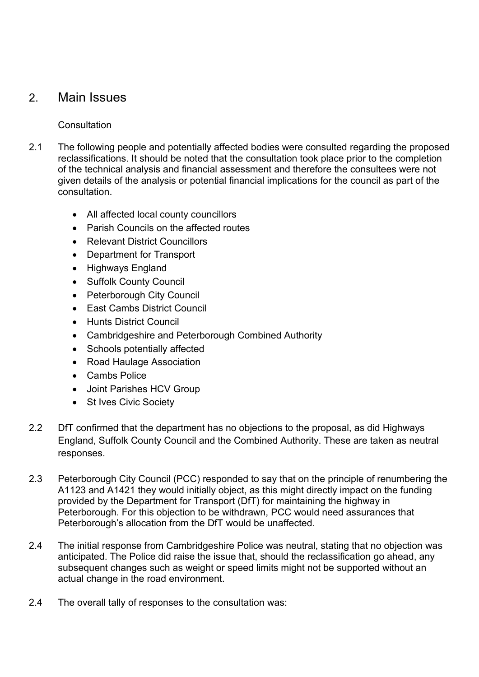### 2. Main Issues

#### **Consultation**

- 2.1 The following people and potentially affected bodies were consulted regarding the proposed reclassifications. It should be noted that the consultation took place prior to the completion of the technical analysis and financial assessment and therefore the consultees were not given details of the analysis or potential financial implications for the council as part of the consultation.
	- All affected local county councillors
	- Parish Councils on the affected routes
	- Relevant District Councillors
	- Department for Transport
	- Highways England
	- Suffolk County Council
	- Peterborough City Council
	- East Cambs District Council
	- Hunts District Council
	- Cambridgeshire and Peterborough Combined Authority
	- Schools potentially affected
	- Road Haulage Association
	- Cambs Police
	- Joint Parishes HCV Group
	- St Ives Civic Society
- 2.2 DfT confirmed that the department has no objections to the proposal, as did Highways England, Suffolk County Council and the Combined Authority. These are taken as neutral responses.
- 2.3 Peterborough City Council (PCC) responded to say that on the principle of renumbering the A1123 and A1421 they would initially object, as this might directly impact on the funding provided by the Department for Transport (DfT) for maintaining the highway in Peterborough. For this objection to be withdrawn, PCC would need assurances that Peterborough's allocation from the DfT would be unaffected.
- 2.4 The initial response from Cambridgeshire Police was neutral, stating that no objection was anticipated. The Police did raise the issue that, should the reclassification go ahead, any subsequent changes such as weight or speed limits might not be supported without an actual change in the road environment.
- 2.4 The overall tally of responses to the consultation was: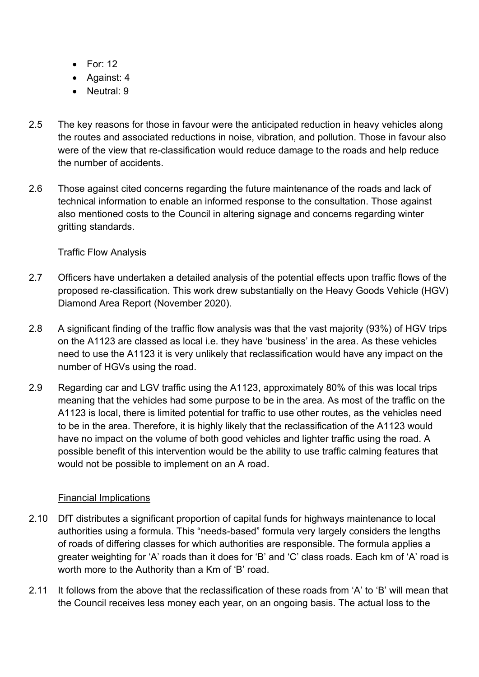- For: 12
- Against: 4
- Neutral: 9
- 2.5 The key reasons for those in favour were the anticipated reduction in heavy vehicles along the routes and associated reductions in noise, vibration, and pollution. Those in favour also were of the view that re-classification would reduce damage to the roads and help reduce the number of accidents.
- 2.6 Those against cited concerns regarding the future maintenance of the roads and lack of technical information to enable an informed response to the consultation. Those against also mentioned costs to the Council in altering signage and concerns regarding winter gritting standards.

#### Traffic Flow Analysis

- 2.7 Officers have undertaken a detailed analysis of the potential effects upon traffic flows of the proposed re-classification. This work drew substantially on the Heavy Goods Vehicle (HGV) Diamond Area Report (November 2020).
- 2.8 A significant finding of the traffic flow analysis was that the vast majority (93%) of HGV trips on the A1123 are classed as local i.e. they have 'business' in the area. As these vehicles need to use the A1123 it is very unlikely that reclassification would have any impact on the number of HGVs using the road.
- 2.9 Regarding car and LGV traffic using the A1123, approximately 80% of this was local trips meaning that the vehicles had some purpose to be in the area. As most of the traffic on the A1123 is local, there is limited potential for traffic to use other routes, as the vehicles need to be in the area. Therefore, it is highly likely that the reclassification of the A1123 would have no impact on the volume of both good vehicles and lighter traffic using the road. A possible benefit of this intervention would be the ability to use traffic calming features that would not be possible to implement on an A road.

#### Financial Implications

- 2.10 DfT distributes a significant proportion of capital funds for highways maintenance to local authorities using a formula. This "needs-based" formula very largely considers the lengths of roads of differing classes for which authorities are responsible. The formula applies a greater weighting for 'A' roads than it does for 'B' and 'C' class roads. Each km of 'A' road is worth more to the Authority than a Km of 'B' road.
- 2.11 It follows from the above that the reclassification of these roads from 'A' to 'B' will mean that the Council receives less money each year, on an ongoing basis. The actual loss to the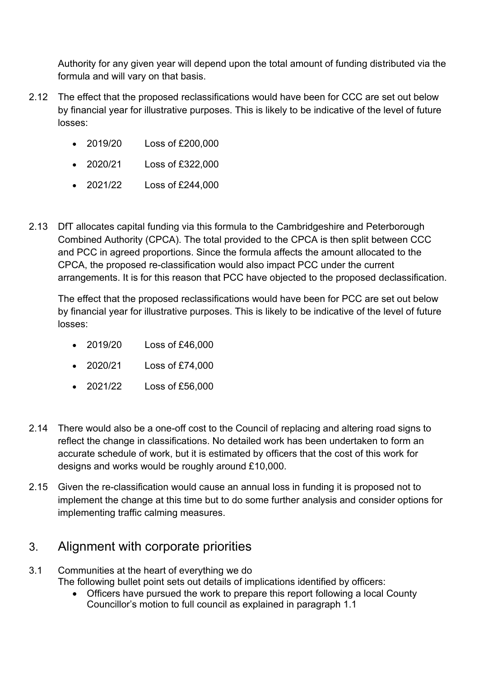Authority for any given year will depend upon the total amount of funding distributed via the formula and will vary on that basis.

- 2.12 The effect that the proposed reclassifications would have been for CCC are set out below by financial year for illustrative purposes. This is likely to be indicative of the level of future losses:
	- 2019/20 Loss of £200,000
	- 2020/21 Loss of £322,000
	- 2021/22 Loss of £244,000
- 2.13 DfT allocates capital funding via this formula to the Cambridgeshire and Peterborough Combined Authority (CPCA). The total provided to the CPCA is then split between CCC and PCC in agreed proportions. Since the formula affects the amount allocated to the CPCA, the proposed re-classification would also impact PCC under the current arrangements. It is for this reason that PCC have objected to the proposed declassification.

The effect that the proposed reclassifications would have been for PCC are set out below by financial year for illustrative purposes. This is likely to be indicative of the level of future losses:

- 2019/20 Loss of £46,000
- 2020/21 Loss of £74,000
- 2021/22 Loss of £56,000
- 2.14 There would also be a one-off cost to the Council of replacing and altering road signs to reflect the change in classifications. No detailed work has been undertaken to form an accurate schedule of work, but it is estimated by officers that the cost of this work for designs and works would be roughly around £10,000.
- 2.15 Given the re-classification would cause an annual loss in funding it is proposed not to implement the change at this time but to do some further analysis and consider options for implementing traffic calming measures.

## 3. Alignment with corporate priorities

- 3.1 Communities at the heart of everything we do The following bullet point sets out details of implications identified by officers:
	- Officers have pursued the work to prepare this report following a local County Councillor's motion to full council as explained in paragraph 1.1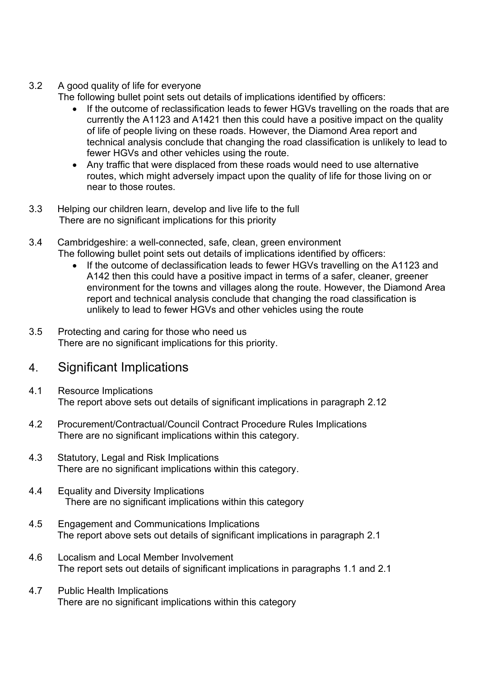3.2 A good quality of life for everyone

The following bullet point sets out details of implications identified by officers:

- If the outcome of reclassification leads to fewer HGVs travelling on the roads that are currently the A1123 and A1421 then this could have a positive impact on the quality of life of people living on these roads. However, the Diamond Area report and technical analysis conclude that changing the road classification is unlikely to lead to fewer HGVs and other vehicles using the route.
- Any traffic that were displaced from these roads would need to use alternative routes, which might adversely impact upon the quality of life for those living on or near to those routes.
- 3.3 Helping our children learn, develop and live life to the full There are no significant implications for this priority
- 3.4 Cambridgeshire: a well-connected, safe, clean, green environment The following bullet point sets out details of implications identified by officers:
	- If the outcome of declassification leads to fewer HGVs travelling on the A1123 and A142 then this could have a positive impact in terms of a safer, cleaner, greener environment for the towns and villages along the route. However, the Diamond Area report and technical analysis conclude that changing the road classification is unlikely to lead to fewer HGVs and other vehicles using the route
- 3.5 Protecting and caring for those who need us There are no significant implications for this priority.

## 4. Significant Implications

- 4.1 Resource Implications The report above sets out details of significant implications in paragraph 2.12
- 4.2 Procurement/Contractual/Council Contract Procedure Rules Implications There are no significant implications within this category.
- 4.3 Statutory, Legal and Risk Implications There are no significant implications within this category.
- 4.4 Equality and Diversity Implications There are no significant implications within this category
- 4.5 Engagement and Communications Implications The report above sets out details of significant implications in paragraph 2.1
- 4.6 Localism and Local Member Involvement The report sets out details of significant implications in paragraphs 1.1 and 2.1
- 4.7 Public Health Implications There are no significant implications within this category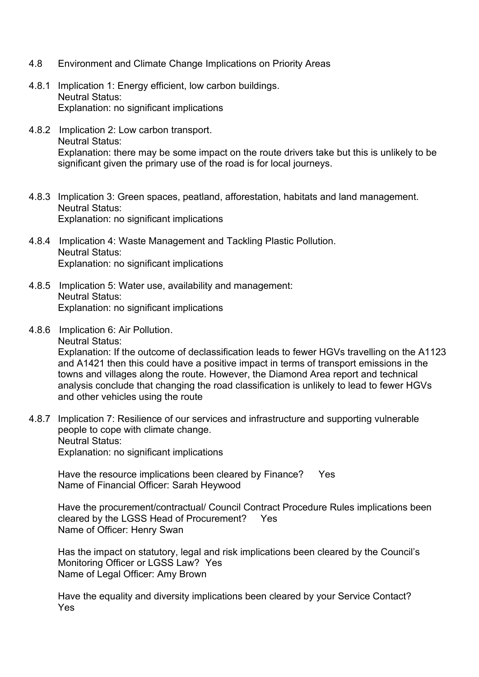- 4.8 Environment and Climate Change Implications on Priority Areas
- 4.8.1 Implication 1: Energy efficient, low carbon buildings. Neutral Status: Explanation: no significant implications
- 4.8.2 Implication 2: Low carbon transport. Neutral Status: Explanation: there may be some impact on the route drivers take but this is unlikely to be significant given the primary use of the road is for local journeys.
- 4.8.3 Implication 3: Green spaces, peatland, afforestation, habitats and land management. Neutral Status: Explanation: no significant implications
- 4.8.4 Implication 4: Waste Management and Tackling Plastic Pollution. Neutral Status: Explanation: no significant implications
- 4.8.5 Implication 5: Water use, availability and management: Neutral Status: Explanation: no significant implications
- 4.8.6 Implication 6: Air Pollution. Neutral Status:

Explanation: If the outcome of declassification leads to fewer HGVs travelling on the A1123 and A1421 then this could have a positive impact in terms of transport emissions in the towns and villages along the route. However, the Diamond Area report and technical analysis conclude that changing the road classification is unlikely to lead to fewer HGVs and other vehicles using the route

4.8.7 Implication 7: Resilience of our services and infrastructure and supporting vulnerable people to cope with climate change. Neutral Status: Explanation: no significant implications

Have the resource implications been cleared by Finance? Yes Name of Financial Officer: Sarah Heywood

Have the procurement/contractual/ Council Contract Procedure Rules implications been cleared by the LGSS Head of Procurement? Yes Name of Officer: Henry Swan

Has the impact on statutory, legal and risk implications been cleared by the Council's Monitoring Officer or LGSS Law? Yes Name of Legal Officer: Amy Brown

Have the equality and diversity implications been cleared by your Service Contact? Yes